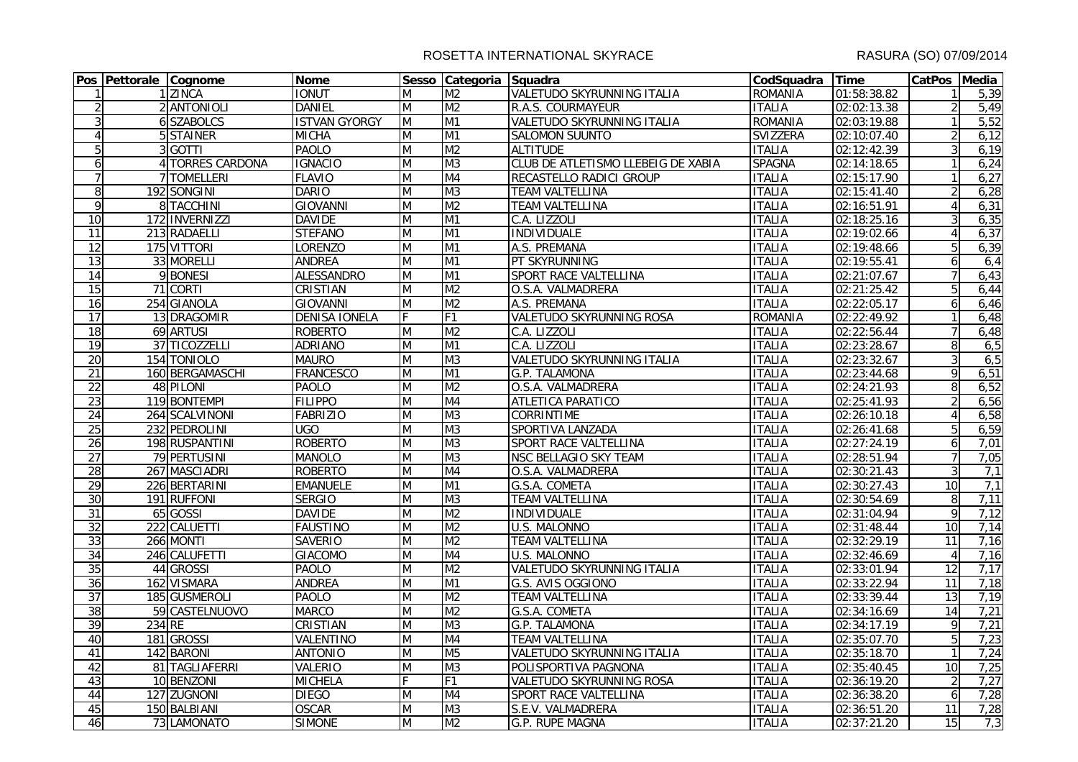|                 | Pos Pettorale Cognome |                  | <b>Nome</b>          |                | Sesso Categoria Squadra |                                    | CodSquadra Time |             | CatPos Media    |       |
|-----------------|-----------------------|------------------|----------------------|----------------|-------------------------|------------------------------------|-----------------|-------------|-----------------|-------|
| $\mathbf{1}$    |                       | 1 ZINCA          | <b>IONUT</b>         | M              | M <sub>2</sub>          | VALETUDO SKYRUNNING ITALIA         | <b>ROMANIA</b>  | 01:58:38.82 |                 | 5,39  |
| $\overline{2}$  |                       | 2 ANTONIOLI      | <b>DANIEL</b>        | M              | M <sub>2</sub>          | R.A.S. COURMAYEUR                  | <b>ITALIA</b>   | 02:02:13.38 | $\overline{2}$  | 5,49  |
| $\overline{3}$  |                       | 6 SZABOLCS       | <b>ISTVAN GYORGY</b> | $\overline{M}$ | M1                      | VALETUDO SKYRUNNING ITALIA         | <b>ROMANIA</b>  | 02:03:19.88 |                 | 5,52  |
| $\overline{4}$  |                       | 5 STAINER        | <b>MICHA</b>         | M              | M1                      | <b>SALOMON SUUNTO</b>              | <b>SVIZZERA</b> | 02:10:07.40 | $\overline{2}$  | 6,12  |
| 5               |                       | 3 GOTTI          | <b>PAOLO</b>         | M              | M <sub>2</sub>          | <b>ALTITUDE</b>                    | <b>ITALIA</b>   | 02:12:42.39 | $\overline{3}$  | 6,19  |
| $6 \mid$        |                       | 4 TORRES CARDONA | <b>IGNACIO</b>       | M              | M <sub>3</sub>          | CLUB DE ATLETISMO LLEBEIG DE XABIA | <b>SPAGNA</b>   | 02:14:18.65 |                 | 6,24  |
| $\overline{7}$  |                       | 7 TOMELLERI      | <b>FLAVIO</b>        | M              | M4                      | RECASTELLO RADICI GROUP            | <b>ITALIA</b>   | 02:15:17.90 | $\mathbf{1}$    | 6,27  |
| 8               |                       | 192 SONGINI      | <b>DARIO</b>         | M              | M <sub>3</sub>          | <b>TEAM VALTELLINA</b>             | <b>ITALIA</b>   | 02:15:41.40 | $\overline{2}$  | 6,28  |
| $\overline{9}$  |                       | 8 TACCHINI       | <b>GIOVANNI</b>      | M              | M <sub>2</sub>          | <b>TEAM VALTELLINA</b>             | <b>ITALIA</b>   | 02:16:51.91 | $\overline{4}$  | 6,31  |
| 10              |                       | 172 INVERNIZZI   | <b>DAVIDE</b>        | M              | M1                      | C.A. LIZZOLI                       | <b>ITALIA</b>   | 02:18:25.16 | 3               | 6,35  |
| $\overline{11}$ |                       | 213 RADAELLI     | <b>STEFANO</b>       | M              | M1                      | <b>INDIVIDUALE</b>                 | <b>ITALIA</b>   | 02:19:02.66 | $\overline{4}$  | 6,37  |
| 12              |                       | 175 VITTORI      | <b>LORENZO</b>       | M              | M1                      | A.S. PREMANA                       | <b>ITALIA</b>   | 02:19:48.66 | 5               | 6, 39 |
| $\overline{13}$ |                       | 33 MORELLI       | <b>ANDREA</b>        | M              | M1                      | PT SKYRUNNING                      | <b>ITALIA</b>   | 02:19:55.41 | 6               | 6,4   |
| 14              |                       | 9 BONESI         | <b>ALESSANDRO</b>    | M              | M1                      | SPORT RACE VALTELLINA              | <b>ITALIA</b>   | 02:21:07.67 | $\overline{7}$  | 6,43  |
| 15              |                       | 71 CORTI         | <b>CRISTIAN</b>      | M              | M <sub>2</sub>          | O.S.A. VALMADRERA                  | <b>ITALIA</b>   | 02:21:25.42 | 5               | 6,44  |
| 16              |                       | 254 GIANOLA      | <b>GIOVANNI</b>      | M              | M <sub>2</sub>          | A.S. PREMANA                       | <b>ITALIA</b>   | 02:22:05.17 | 6               | 6,46  |
| $\overline{17}$ |                       | 13 DRAGOMIR      | <b>DENISA IONELA</b> | F.             | F1                      | VALETUDO SKYRUNNING ROSA           | <b>ROMANIA</b>  | 02:22:49.92 |                 | 6,48  |
| 18              |                       | 69 ARTUSI        | <b>ROBERTO</b>       | M              | M <sub>2</sub>          | C.A. LIZZOLI                       | <b>ITALIA</b>   | 02:22:56.44 | $\overline{7}$  | 6,48  |
| 19              |                       | 37 TICOZZELLI    | <b>ADRIANO</b>       | $\overline{M}$ | M1                      | C.A. LIZZOLI                       | <b>ITALIA</b>   | 02:23:28.67 | 8               | 6,5   |
| 20              |                       | 154 TONIOLO      | <b>MAURO</b>         | M              | M <sub>3</sub>          | <b>VALETUDO SKYRUNNING ITALIA</b>  | <b>ITALIA</b>   | 02:23:32.67 | 3               | 6,5   |
| $\overline{21}$ |                       | 160 BERGAMASCHI  | <b>FRANCESCO</b>     | M              | M1                      | G.P. TALAMONA                      | <b>ITALIA</b>   | 02:23:44.68 | 9               | 6,51  |
| $\overline{22}$ |                       | 48 PILONI        | <b>PAOLO</b>         | M              | M <sub>2</sub>          | O.S.A. VALMADRERA                  | <b>ITALIA</b>   | 02:24:21.93 | 8               | 6,52  |
| 23              |                       | 119 BONTEMPI     | <b>FILIPPO</b>       | M              | M4                      | ATLETICA PARATICO                  | <b>ITALIA</b>   | 02:25:41.93 | $\overline{2}$  | 6,56  |
| 24              |                       | 264 SCALVINONI   | <b>FABRIZIO</b>      | M              | M <sub>3</sub>          | CORRINTIME                         | <b>ITALIA</b>   | 02:26:10.18 | $\overline{4}$  | 6,58  |
| 25              |                       | 232 PEDROLINI    | UGO                  | M              | M <sub>3</sub>          | SPORTIVA LANZADA                   | <b>ITALIA</b>   | 02:26:41.68 | 5               | 6,59  |
| 26              |                       | 198 RUSPANTINI   | <b>ROBERTO</b>       | M              | M <sub>3</sub>          | SPORT RACE VALTELLINA              | <b>ITALIA</b>   | 02:27:24.19 | 6               | 7,01  |
| $\overline{27}$ |                       | 79 PERTUSINI     | <b>MANOLO</b>        | M              | M <sub>3</sub>          | NSC BELLAGIO SKY TEAM              | <b>ITALIA</b>   | 02:28:51.94 | $\overline{7}$  | 7,05  |
| $\overline{28}$ |                       | 267 MASCIADRI    | <b>ROBERTO</b>       | M              | M4                      | O.S.A. VALMADRERA                  | <b>ITALIA</b>   | 02:30:21.43 | $\mathbf{3}$    | 7,1   |
| 29              |                       | 226 BERTARINI    | <b>EMANUELE</b>      | M              | M1                      | G.S.A. COMETA                      | <b>ITALIA</b>   | 02:30:27.43 | 10              | 7,1   |
| 30              |                       | 191 RUFFONI      | <b>SERGIO</b>        | M              | M <sub>3</sub>          | <b>TEAM VALTELLINA</b>             | <b>ITALIA</b>   | 02:30:54.69 | 8               | 7,11  |
| 31              |                       | 65 GOSSI         | <b>DAVIDE</b>        | M              | M <sub>2</sub>          | <b>INDIVIDUALE</b>                 | <b>ITALIA</b>   | 02:31:04.94 | 9               | 7,12  |
| $\overline{32}$ |                       | 222 CALUETTI     | <b>FAUSTINO</b>      | M              | M <sub>2</sub>          | <b>U.S. MALONNO</b>                | <b>ITALIA</b>   | 02:31:48.44 | 10              | 7,14  |
| 33              |                       | 266 MONTI        | <b>SAVERIO</b>       | M              | M <sub>2</sub>          | <b>TEAM VALTELLINA</b>             | <b>ITALIA</b>   | 02:32:29.19 | 11              | 7,16  |
| 34              |                       | 246 CALUFETTI    | <b>GIACOMO</b>       | M              | M4                      | <b>U.S. MALONNO</b>                | <b>ITALIA</b>   | 02:32:46.69 | $\overline{4}$  | 7,16  |
| 35              |                       | 44 GROSSI        | PAOLO                | M              | M <sub>2</sub>          | VALETUDO SKYRUNNING ITALIA         | <b>ITALIA</b>   | 02:33:01.94 | $\overline{12}$ | 7,17  |
| 36              |                       | 162 VISMARA      | <b>ANDREA</b>        | $\overline{M}$ | M1                      | G.S. AVIS OGGIONO                  | <b>ITALIA</b>   | 02:33:22.94 | $\overline{11}$ | 7,18  |
| 37              |                       | 185 GUSMEROLI    | <b>PAOLO</b>         | M              | M <sub>2</sub>          | <b>TEAM VALTELLINA</b>             | <b>ITALIA</b>   | 02:33:39.44 | 13              | 7,19  |
| 38              |                       | 59 CASTELNUOVO   | <b>MARCO</b>         | M              | M <sub>2</sub>          | G.S.A. COMETA                      | <b>ITALIA</b>   | 02:34:16.69 | 14              | 7,21  |
| 39              | 234 RE                |                  | <b>CRISTIAN</b>      | M              | M <sub>3</sub>          | G.P. TALAMONA                      | <b>ITALIA</b>   | 02:34:17.19 | 9               | 7,21  |
| 40              |                       | 181 GROSSI       | VALENTINO            | M              | M4                      | TEAM VALTELLINA                    | <b>ITALIA</b>   | 02:35:07.70 | 5               | 7,23  |
| 41              |                       | 142 BARONI       | <b>ANTONIO</b>       | M              | M <sub>5</sub>          | VALETUDO SKYRUNNING ITALIA         | <b>ITALIA</b>   | 02:35:18.70 | $\mathbf{1}$    | 7,24  |
| 42              |                       | 81 TAGLIAFERRI   | <b>VALERIO</b>       | M              | M <sub>3</sub>          | POLISPORTIVA PAGNONA               | <b>ITALIA</b>   | 02:35:40.45 | 10              | 7,25  |
| 43              |                       | 10 BENZONI       | <b>MICHELA</b>       | F              | F1                      | <b>VALETUDO SKYRUNNING ROSA</b>    | <b>ITALIA</b>   | 02:36:19.20 | $\overline{2}$  | 7,27  |
| 44              |                       | 127 ZUGNONI      | <b>DIEGO</b>         | M              | M <sub>4</sub>          | SPORT RACE VALTELLINA              | <b>ITALIA</b>   | 02:36:38.20 | 6               | 7,28  |
| 45              |                       | 150 BALBIANI     | <b>OSCAR</b>         | M              | M <sub>3</sub>          | S.E.V. VALMADRERA                  | <b>ITALIA</b>   | 02:36:51.20 | 11              | 7,28  |
| 46              |                       | 73 LAMONATO      | <b>SIMONE</b>        | M              | M <sub>2</sub>          | G.P. RUPE MAGNA                    | <b>ITALIA</b>   | 02:37:21.20 | 15              | 7,3   |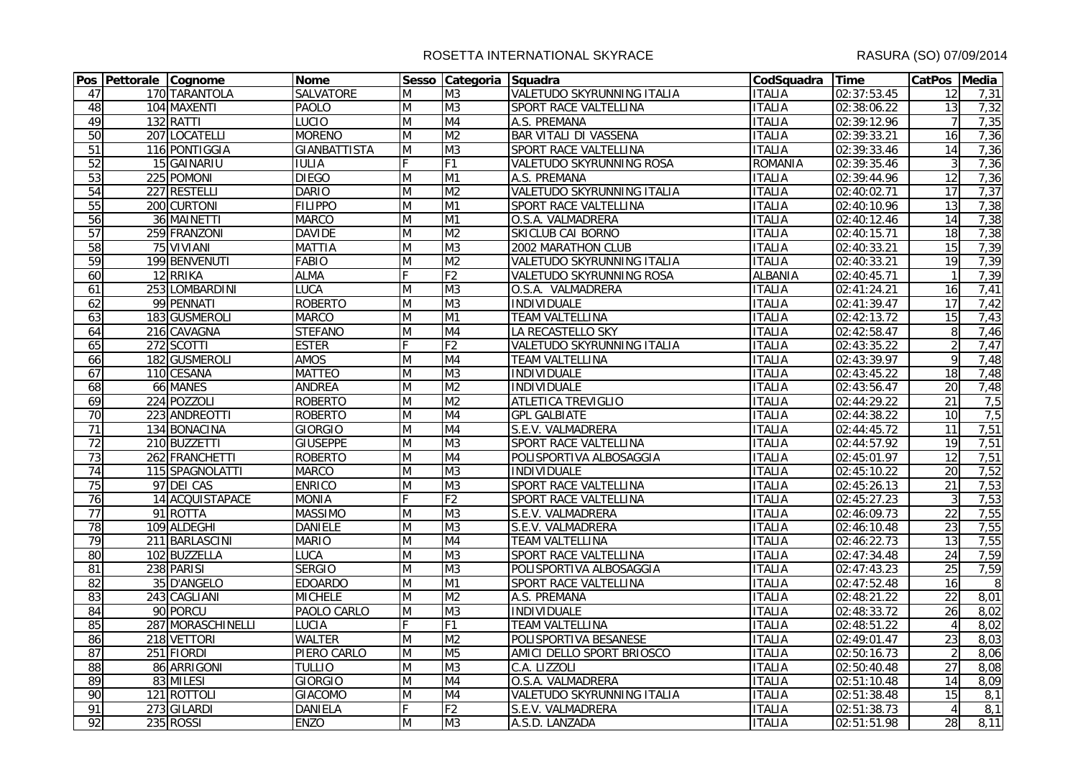|                 | Pos Pettorale Cognome |                   | <b>Nome</b>         |                | Sesso Categoria Squadra |                                   | CodSquadra Time |                          | CatPos Media    |      |
|-----------------|-----------------------|-------------------|---------------------|----------------|-------------------------|-----------------------------------|-----------------|--------------------------|-----------------|------|
| 47              |                       | 170 TARANTOLA     | <b>SALVATORE</b>    | M              | M <sub>3</sub>          | VALETUDO SKYRUNNING ITALIA        | <b>ITALIA</b>   | 02:37:53.45              | 12              | 7,31 |
| 48              |                       | 104 MAXENTI       | PAOLO               | M              | M <sub>3</sub>          | SPORT RACE VALTELLINA             | <b>ITALIA</b>   | 02:38:06.22              | 13              | 7,32 |
| 49              |                       | 132 RATTI         | <b>LUCIO</b>        | M              | M4                      | A.S. PREMANA                      | <b>ITALIA</b>   | 02:39:12.96              | $\overline{7}$  | 7,35 |
| 50              |                       | 207 LOCATELLI     | <b>MORENO</b>       | M              | M <sub>2</sub>          | <b>BAR VITALI DI VASSENA</b>      | <b>ITALIA</b>   | 02:39:33.21              | 16              | 7,36 |
| 51              |                       | 116 PONTIGGIA     | <b>GIANBATTISTA</b> | M              | M <sub>3</sub>          | SPORT RACE VALTELLINA             | <b>ITALIA</b>   | 02:39:33.46              | 14              | 7,36 |
| 52              |                       | 15 GAINARIU       | <b>IULIA</b>        | $\overline{F}$ | F1                      | VALETUDO SKYRUNNING ROSA          | <b>ROMANIA</b>  | 02:39:35.46              | $\overline{3}$  | 7,36 |
| 53              |                       | 225 POMONI        | <b>DIEGO</b>        | M              | M1                      | A.S. PREMANA                      | <b>ITALIA</b>   | 02:39:44.96              | 12              | 7,36 |
| 54              |                       | 227 RESTELLI      | <b>DARIO</b>        | M              | M <sub>2</sub>          | <b>VALETUDO SKYRUNNING ITALIA</b> | <b>ITALIA</b>   | 02:40:02.71              | 17              | 7,37 |
| 55              |                       | 200 CURTONI       | <b>FILIPPO</b>      | M              | M <sub>1</sub>          | SPORT RACE VALTELLINA             | <b>ITALIA</b>   | 02:40:10.96              | 13              | 7,38 |
| $\overline{56}$ |                       | 36 MAINETTI       | <b>MARCO</b>        | M              | M1                      | O.S.A. VALMADRERA                 | <b>ITALIA</b>   | 02:40:12.46              | 14              | 7,38 |
| 57              |                       | 259 FRANZONI      | <b>DAVIDE</b>       | M              | M <sub>2</sub>          | SKICLUB CAI BORNO                 | <b>ITALIA</b>   | 02:40:15.71              | 18              | 7,38 |
| $\overline{58}$ |                       | 75 VIVIANI        | <b>MATTIA</b>       | M              | M <sub>3</sub>          | 2002 MARATHON CLUB                | <b>ITALIA</b>   | 02:40:33.21              | 15              | 7,39 |
| 59              |                       | 199 BENVENUTI     | <b>FABIO</b>        | M              | M <sub>2</sub>          | <b>VALETUDO SKYRUNNING ITALIA</b> | <b>ITALIA</b>   | 02:40:33.21              | 19              | 7,39 |
| 60              |                       | 12 RRIKA          | <b>ALMA</b>         | F              | F <sub>2</sub>          | VALETUDO SKYRUNNING ROSA          | <b>ALBANIA</b>  | 02:40:45.71              | $\mathbf{1}$    | 7,39 |
| 61              |                       | 253 LOMBARDINI    | <b>LUCA</b>         | M              | M <sub>3</sub>          | O.S.A. VALMADRERA                 | <b>ITALIA</b>   | 02:41:24.21              | $\overline{16}$ | 7,41 |
| 62              |                       | 99 PENNATI        | <b>ROBERTO</b>      | M              | M <sub>3</sub>          | <b>INDIVIDUALE</b>                | <b>ITALIA</b>   | 02:41:39.47              | 17              | 7,42 |
| 63              |                       | 183 GUSMEROLI     | <b>MARCO</b>        | M              | M1                      | <b>TEAM VALTELLINA</b>            | <b>ITALIA</b>   | 02:42:13.72              | 15              | 7,43 |
| 64              |                       | 216 CAVAGNA       | <b>STEFANO</b>      | M              | M4                      | LA RECASTELLO SKY                 | <b>ITALIA</b>   | 02:42:58.47              | 8               | 7,46 |
| 65              |                       | 272 SCOTTI        | <b>ESTER</b>        | F              | F <sub>2</sub>          | VALETUDO SKYRUNNING ITALIA        | <b>ITALIA</b>   | 02:43:35.22              | $\overline{2}$  | 7,47 |
| 66              |                       | 182 GUSMEROLI     | <b>AMOS</b>         | M              | M <sub>4</sub>          | <b>TEAM VALTELLINA</b>            | <b>ITALIA</b>   | 02:43:39.97              | $\overline{9}$  | 7,48 |
| 67              |                       | 110 CESANA        | <b>MATTEO</b>       | M              | M <sub>3</sub>          | INDIVIDUALE                       | <b>ITALIA</b>   | 02:43:45.22              | 18              | 7,48 |
| $\overline{68}$ |                       | 66 MANES          | <b>ANDREA</b>       | M              | M <sub>2</sub>          | <b>INDIVIDUALE</b>                | <b>ITALIA</b>   | 02:43:56.47              | 20              | 7,48 |
| 69              |                       | 224 POZZOLI       | <b>ROBERTO</b>      | M              | M <sub>2</sub>          | ATLETICA TREVIGLIO                | <b>ITALIA</b>   | 02:44:29.22              | $\overline{21}$ | 7,5  |
| 70              |                       | 223 ANDREOTTI     | <b>ROBERTO</b>      | M              | M4                      | <b>GPL GALBIATE</b>               | <b>ITALIA</b>   | 02:44:38.22              | 10              | 7,5  |
| $\overline{71}$ |                       | 134 BONACINA      | <b>GIORGIO</b>      | M              | M4                      | S.E.V. VALMADRERA                 | <b>ITALIA</b>   | 02:44:45.72              | $\overline{11}$ | 7,51 |
| 72              |                       | 210 BUZZETTI      | <b>GIUSEPPE</b>     | M              | M <sub>3</sub>          | SPORT RACE VALTELLINA             | <b>ITALIA</b>   | 02:44:57.92              | 19              | 7,51 |
| $\overline{73}$ |                       | 262 FRANCHETTI    | <b>ROBERTO</b>      | M              | M4                      | POLISPORTIVA ALBOSAGGIA           | <b>ITALIA</b>   | 02:45:01.97              | $\overline{12}$ | 7,51 |
| 74              |                       | 115 SPAGNOLATTI   | <b>MARCO</b>        | M              | M <sub>3</sub>          | INDIVIDUALE                       | <b>ITALIA</b>   | 02:45:10.22              | 20              | 7,52 |
| 75              |                       | 97 DEI CAS        | <b>ENRICO</b>       | M              | M <sub>3</sub>          | SPORT RACE VALTELLINA             | <b>ITALIA</b>   | 02:45:26.13              | $\overline{21}$ | 7,53 |
| $\overline{76}$ |                       | 14 ACQUISTAPACE   | <b>MONIA</b>        |                | F <sub>2</sub>          | SPORT RACE VALTELLINA             | <b>ITALIA</b>   | 02:45:27.23              | 3               | 7,53 |
| $\overline{77}$ |                       | 91 ROTTA          | <b>MASSIMO</b>      | M              | M <sub>3</sub>          | S.E.V. VALMADRERA                 | <b>ITALIA</b>   | 02:46:09.73              | $\overline{22}$ | 7,55 |
| 78              |                       | 109 ALDEGHI       | <b>DANIELE</b>      | M              | M <sub>3</sub>          | S.E.V. VALMADRERA                 | <b>ITALIA</b>   | 02:46:10.48              | 23              | 7,55 |
| 79              |                       | 211 BARLASCINI    | <b>MARIO</b>        | M              | M4                      | <b>TEAM VALTELLINA</b>            | <b>ITALIA</b>   | 02:46:22.73              | 13              | 7,55 |
| 80              |                       | 102 BUZZELLA      | <b>LUCA</b>         | M              | M <sub>3</sub>          | SPORT RACE VALTELLINA             | <b>ITALIA</b>   | 02:47:34.48              | 24              | 7,59 |
| 81              |                       | 238 PARISI        | <b>SERGIO</b>       | M              | M <sub>3</sub>          | POLISPORTIVA ALBOSAGGIA           | <b>ITALIA</b>   | $\overline{02:}47:43.23$ | 25              | 7,59 |
| 82              |                       | 35 D'ANGELO       | <b>EDOARDO</b>      | M              | M1                      | SPORT RACE VALTELLINA             | <b>ITALIA</b>   | 02:47:52.48              | 16              | 8    |
| 83              |                       | 243 CAGLIANI      | <b>MICHELE</b>      | M              | M <sub>2</sub>          | A.S. PREMANA                      | <b>ITALIA</b>   | 02:48:21.22              | 22              | 8,01 |
| 84              |                       | 90 PORCU          | PAOLO CARLO         | M              | M <sub>3</sub>          | <b>INDIVIDUALE</b>                | <b>ITALIA</b>   | 02:48:33.72              | $\overline{26}$ | 8,02 |
| 85              |                       | 287 MORASCHINELLI | LUCIA               | F              | F1                      | <b>TEAM VALTELLINA</b>            | <b>ITALIA</b>   | 02:48:51.22              | $\overline{4}$  | 8,02 |
| 86              |                       | 218 VETTORI       | <b>WALTER</b>       | M              | M <sub>2</sub>          | POLISPORTIVA BESANESE             | <b>ITALIA</b>   | 02:49:01.47              | 23              | 8,03 |
| 87              |                       | 251 FIORDI        | PIERO CARLO         | M              | M <sub>5</sub>          | AMICI DELLO SPORT BRIOSCO         | <b>ITALIA</b>   | 02:50:16.73              | $\overline{2}$  | 8,06 |
| $\overline{88}$ |                       | 86 ARRIGONI       | <b>TULLIO</b>       | M              | M <sub>3</sub>          | C.A. LIZZOLI                      | <b>ITALIA</b>   | 02:50:40.48              | 27              | 8,08 |
| 89              |                       | 83 MILESI         | <b>GIORGIO</b>      | M              | M <sub>4</sub>          | O.S.A. VALMADRERA                 | <b>ITALIA</b>   | 02:51:10.48              | 14              | 8,09 |
| 90              |                       | 121 ROTTOLI       | <b>GIACOMO</b>      | M              | M4                      | <b>VALETUDO SKYRUNNING ITALIA</b> | <b>ITALIA</b>   | 02:51:38.48              | 15              | 8,1  |
| 91              |                       | 273 GILARDI       | <b>DANIELA</b>      | F              | F <sub>2</sub>          | S.E.V. VALMADRERA                 | <b>ITALIA</b>   | 02:51:38.73              | $\overline{4}$  | 8,1  |
| 92              |                       | 235 ROSSI         | <b>ENZO</b>         | M              | M <sub>3</sub>          | A.S.D. LANZADA                    | <b>ITALIA</b>   | 02:51:51.98              | 28              | 8,11 |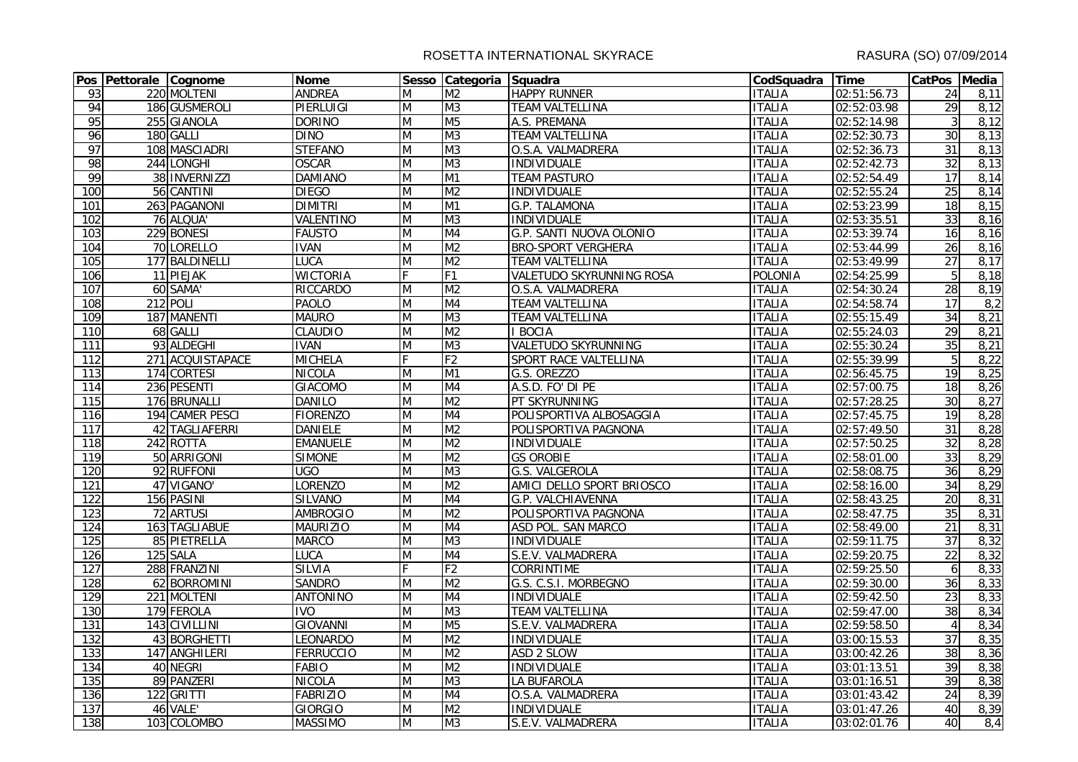|                  | Pos Pettorale Cognome |                  | <b>Nome</b>      |                                                                                       | Sesso Categoria Squadra  |                                 | CodSquadra Time |             | CatPos Media     |      |
|------------------|-----------------------|------------------|------------------|---------------------------------------------------------------------------------------|--------------------------|---------------------------------|-----------------|-------------|------------------|------|
| 93               |                       | 220 MOLTENI      | <b>ANDREA</b>    | M                                                                                     | M <sub>2</sub>           | <b>HAPPY RUNNER</b>             | <b>ITALIA</b>   | 02:51:56.73 | $\overline{24}$  | 8,11 |
| 94               |                       | 186 GUSMEROLI    | PIERLUIGI        | M                                                                                     | M3                       | <b>TEAM VALTELLINA</b>          | <b>ITALIA</b>   | 02:52:03.98 | $\overline{29}$  | 8,12 |
| 95               |                       | 255 GIANOLA      | <b>DORINO</b>    | M                                                                                     | M <sub>5</sub>           | A.S. PREMANA                    | <b>ITALIA</b>   | 02:52:14.98 | $\mathbf{3}$     | 8,12 |
| 96               |                       | 180 GALLI        | <b>DINO</b>      | $\overline{M}$                                                                        | M <sub>3</sub>           | <b>TEAM VALTELLINA</b>          | <b>ITALIA</b>   | 02:52:30.73 | $\overline{30}$  | 8,13 |
| 97               |                       | 108 MASCIADRI    | <b>STEFANO</b>   | M                                                                                     | M <sub>3</sub>           | O.S.A. VALMADRERA               | <b>ITALIA</b>   | 02:52:36.73 | 31               | 8,13 |
| $\overline{98}$  |                       | 244 LONGHI       | <b>OSCAR</b>     | M                                                                                     | M3                       | <b>INDIVIDUALE</b>              | <b>ITALIA</b>   | 02:52:42.73 | $\overline{32}$  | 8,13 |
| 99               |                       | 38 INVERNIZZI    | <b>DAMIANO</b>   | M                                                                                     | M1                       | <b>TEAM PASTURO</b>             | <b>ITALIA</b>   | 02:52:54.49 | 17               | 8,14 |
| 100              |                       | 56 CANTINI       | <b>DIEGO</b>     | M                                                                                     | M <sub>2</sub>           | <b>INDIVIDUALE</b>              | <b>ITALIA</b>   | 02:52:55.24 | 25               | 8,14 |
| 101              |                       | 263 PAGANONI     | <b>DIMITRI</b>   | M                                                                                     | M1                       | G.P. TALAMONA                   | <b>ITALIA</b>   | 02:53:23.99 | 18               | 8,15 |
| 102              |                       | 76 ALQUA'        | <b>VALENTINO</b> | M                                                                                     | M <sub>3</sub>           | <b>INDIVIDUALE</b>              | <b>ITALIA</b>   | 02:53:35.51 | 33               | 8,16 |
| 103              |                       | 229 BONESI       | <b>FAUSTO</b>    | $\mathsf{M}% _{T}=\mathsf{M}_{T}\!\left( a,b\right) ,\ \mathsf{M}_{T}=\mathsf{M}_{T}$ | $\overline{\mathsf{M4}}$ | G.P. SANTI NUOVA OLONIO         | <b>ITALIA</b>   | 02:53:39.74 | 16               | 8,16 |
| 104              |                       | 70 LORELLO       | <b>IVAN</b>      | M                                                                                     | M <sub>2</sub>           | <b>BRO-SPORT VERGHERA</b>       | <b>ITALIA</b>   | 02:53:44.99 | 26               | 8,16 |
| 105              |                       | 177 BALDINELLI   | <b>LUCA</b>      | M                                                                                     | M <sub>2</sub>           | <b>TEAM VALTELLINA</b>          | <b>ITALIA</b>   | 02:53:49.99 | $\overline{27}$  | 8,17 |
| 106              |                       | 11 PIEJAK        | <b>WICTORIA</b>  | F                                                                                     | F1                       | <b>VALETUDO SKYRUNNING ROSA</b> | <b>POLONIA</b>  | 02:54:25.99 | 5                | 8,18 |
| 107              |                       | 60 SAMA          | <b>RICCARDO</b>  | $\overline{M}$                                                                        | M <sub>2</sub>           | O.S.A. VALMADRERA               | <b>ITALIA</b>   | 02:54:30.24 | 28               | 8,19 |
| 108              |                       | 212 POLI         | <b>PAOLO</b>     | M                                                                                     | M <sub>4</sub>           | <b>TEAM VALTELLINA</b>          | <b>ITALIA</b>   | 02:54:58.74 | $\overline{17}$  | 8,2  |
| 109              |                       | 187 MANENTI      | <b>MAURO</b>     | M                                                                                     | M <sub>3</sub>           | <b>TEAM VALTELLINA</b>          | <b>ITALIA</b>   | 02:55:15.49 | 34               | 8,21 |
| 110              |                       | 68 GALLI         | <b>CLAUDIO</b>   | M                                                                                     | M <sub>2</sub>           | <b>BOCIA</b>                    | <b>ITALIA</b>   | 02:55:24.03 | 29               | 8,21 |
| 111              |                       | 93 ALDEGHI       | <b>IVAN</b>      | M                                                                                     | M <sub>3</sub>           | <b>VALETUDO SKYRUNNING</b>      | <b>ITALIA</b>   | 02:55:30.24 | 35               | 8,21 |
| 112              |                       | 271 ACQUISTAPACE | <b>MICHELA</b>   | F                                                                                     | F <sub>2</sub>           | SPORT RACE VALTELLINA           | <b>ITALIA</b>   | 02:55:39.99 | 5                | 8,22 |
| 113              |                       | 174 CORTESI      | <b>NICOLA</b>    | $\overline{M}$                                                                        | M1                       | G.S. OREZZO                     | <b>ITALIA</b>   | 02:56:45.75 | 19               | 8,25 |
| 114              |                       | 236 PESENTI      | <b>GIACOMO</b>   | M                                                                                     | M4                       | A.S.D. FO' DI PE                | <b>ITALIA</b>   | 02:57:00.75 | 18               | 8,26 |
| 115              |                       | 176 BRUNALLI     | <b>DANILO</b>    | M                                                                                     | $\overline{M2}$          | PT SKYRUNNING                   | <b>ITALIA</b>   | 02:57:28.25 | 30               | 8,27 |
| 116              |                       | 194 CAMER PESCI  | <b>FIORENZO</b>  | M                                                                                     | M <sub>4</sub>           | POLISPORTIVA ALBOSAGGIA         | <b>ITALIA</b>   | 02:57:45.75 | $\overline{19}$  | 8,28 |
| 117              |                       | 42 TAGLIAFERRI   | <b>DANIELE</b>   | M                                                                                     | M <sub>2</sub>           | POLISPORTIVA PAGNONA            | <b>ITALIA</b>   | 02:57:49.50 | 31               | 8,28 |
| 118              |                       | 242 ROTTA        | <b>EMANUELE</b>  | M                                                                                     | M <sub>2</sub>           | <b>INDIVIDUALE</b>              | <b>ITALIA</b>   | 02:57:50.25 | $\overline{32}$  | 8,28 |
| 119              |                       | 50 ARRIGONI      | <b>SIMONE</b>    | M                                                                                     | M <sub>2</sub>           | <b>GS OROBIE</b>                | <b>ITALIA</b>   | 02:58:01.00 | 33               | 8,29 |
| 120              |                       | 92 RUFFONI       | <b>UGO</b>       | $\overline{M}$                                                                        | M <sub>3</sub>           | G.S. VALGEROLA                  | <b>ITALIA</b>   | 02:58:08.75 | $\overline{36}$  | 8,29 |
| 121              |                       | 47 VIGANO'       | <b>LORENZO</b>   | M                                                                                     | M <sub>2</sub>           | AMICI DELLO SPORT BRIOSCO       | <b>ITALIA</b>   | 02:58:16.00 | 34               | 8,29 |
| 122              |                       | 156 PASINI       | <b>SILVANO</b>   | M                                                                                     | M <sub>4</sub>           | G.P. VALCHIAVENNA               | <b>ITALIA</b>   | 02:58:43.25 | 20               | 8,31 |
| 123              |                       | 72 ARTUSI        | <b>AMBROGIO</b>  | $\overline{M}$                                                                        | M <sub>2</sub>           | POLISPORTIVA PAGNONA            | <b>ITALIA</b>   | 02:58:47.75 | 35               | 8,31 |
| 124              |                       | 163 TAGLIABUE    | <b>MAURIZIO</b>  | $\overline{M}$                                                                        | M <sub>4</sub>           | <b>ASD POL. SAN MARCO</b>       | <b>ITALIA</b>   | 02:58:49.00 | 21               | 8,31 |
| 125              |                       | 85 PIETRELLA     | <b>MARCO</b>     | M                                                                                     | M3                       | <b>INDIVIDUALE</b>              | <b>ITALIA</b>   | 02:59:11.75 | $\overline{37}$  | 8,32 |
| 126              |                       | 125 SALA         | <b>LUCA</b>      | M                                                                                     | M4                       | S.E.V. VALMADRERA               | <b>ITALIA</b>   | 02:59:20.75 | $\overline{22}$  | 8,32 |
| $\overline{127}$ |                       | 288 FRANZINI     | <b>SILVIA</b>    | F                                                                                     | F <sub>2</sub>           | <b>CORRINTIME</b>               | <b>ITALIA</b>   | 02:59:25.50 | $\boldsymbol{6}$ | 8,33 |
| 128              |                       | 62 BORROMINI     | <b>SANDRO</b>    | M                                                                                     | M <sub>2</sub>           | G.S. C.S.I. MORBEGNO            | <b>ITALIA</b>   | 02:59:30.00 | 36               | 8,33 |
| 129              |                       | 221 MOLTENI      | <b>ANTONINO</b>  | M                                                                                     | M <sub>4</sub>           | <b>INDIVIDUALE</b>              | <b>ITALIA</b>   | 02:59:42.50 | $\overline{23}$  | 8,33 |
| 130              |                       | 179 FEROLA       | <b>IVO</b>       | $\overline{M}$                                                                        | M <sub>3</sub>           | <b>TEAM VALTELLINA</b>          | <b>ITALIA</b>   | 02:59:47.00 | $\overline{38}$  | 8,34 |
| 131              |                       | 143 CIVILLINI    | <b>GIOVANNI</b>  | M                                                                                     | M <sub>5</sub>           | S.E.V. VALMADRERA               | <b>ITALIA</b>   | 02:59:58.50 | $\overline{4}$   | 8,34 |
| 132              |                       | 43 BORGHETTI     | <b>LEONARDO</b>  | M                                                                                     | M <sub>2</sub>           | <b>INDIVIDUALE</b>              | <b>ITALIA</b>   | 03:00:15.53 | $\overline{37}$  | 8,35 |
| 133              |                       | 147 ANGHILERI    | <b>FERRUCCIO</b> | M                                                                                     | M <sub>2</sub>           | <b>ASD 2 SLOW</b>               | <b>ITALIA</b>   | 03:00:42.26 | 38               | 8,36 |
| 134              |                       | 40 NEGRI         | <b>FABIO</b>     | M                                                                                     | M <sub>2</sub>           | <b>INDIVIDUALE</b>              | <b>ITALIA</b>   | 03:01:13.51 | 39               | 8,38 |
| 135              |                       | 89 PANZERI       | <b>NICOLA</b>    | M                                                                                     | M <sub>3</sub>           | LA BUFAROLA                     | <b>ITALIA</b>   | 03:01:16.51 | 39               | 8,38 |
| 136              |                       | 122 GRITTI       | <b>FABRIZIO</b>  | M                                                                                     | M <sub>4</sub>           | O.S.A. VALMADRERA               | <b>ITALIA</b>   | 03:01:43.42 | $\overline{24}$  | 8,39 |
| 137              |                       | 46 VALE'         | <b>GIORGIO</b>   | M                                                                                     | M <sub>2</sub>           | <b>INDIVIDUALE</b>              | <b>ITALIA</b>   | 03:01:47.26 | 40               | 8,39 |
| 138              |                       | 103 COLOMBO      | <b>MASSIMO</b>   | M                                                                                     | M <sub>3</sub>           | S.E.V. VALMADRERA               | <b>ITALIA</b>   | 03:02:01.76 | 40               | 8,4  |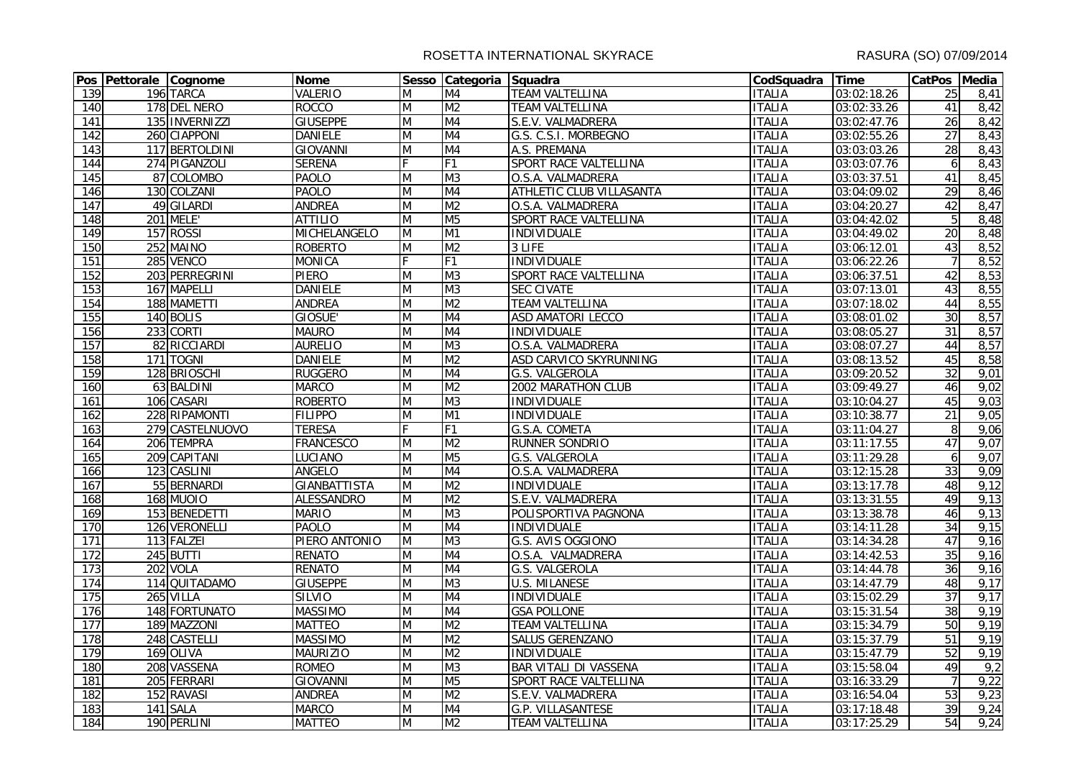|                  | Pos Pettorale Cognome |                 | <b>Nome</b>         |                | Sesso Categoria Squadra  |                                 | CodSquadra Time |             | CatPos Media    |      |
|------------------|-----------------------|-----------------|---------------------|----------------|--------------------------|---------------------------------|-----------------|-------------|-----------------|------|
| 139              |                       | 196 TARCA       | <b>VALERIO</b>      | M              | M4                       | <b>TEAM VALTELLINA</b>          | <b>ITALIA</b>   | 03:02:18.26 | 25              | 8,41 |
| 140              |                       | 178 DEL NERO    | <b>ROCCO</b>        | M              | M <sub>2</sub>           | <b>TEAM VALTELLINA</b>          | <b>ITALIA</b>   | 03:02:33.26 | 41              | 8,42 |
| 141              |                       | 135 INVERNIZZI  | <b>GIUSEPPE</b>     | M              | M <sub>4</sub>           | S.E.V. VALMADRERA               | <b>ITALIA</b>   | 03:02:47.76 | 26              | 8,42 |
| $\overline{142}$ |                       | 260 CIAPPONI    | <b>DANIELE</b>      | $\overline{M}$ | M <sub>4</sub>           | G.S. C.S.I. MORBEGNO            | <b>ITALIA</b>   | 03:02:55.26 | 27              | 8,43 |
| $\overline{143}$ |                       | 117 BERTOLDINI  | <b>GIOVANNI</b>     | M              | M4                       | A.S. PREMANA                    | <b>ITALIA</b>   | 03:03:03.26 | 28              | 8,43 |
| 144              |                       | 274 PIGANZOLI   | <b>SERENA</b>       | F              | F1                       | SPORT RACE VALTELLINA           | <b>ITALIA</b>   | 03:03:07.76 | 6               | 8,43 |
| 145              |                       | 87 COLOMBO      | <b>PAOLO</b>        | M              | M <sub>3</sub>           | O.S.A. VALMADRERA               | <b>ITALIA</b>   | 03:03:37.51 | 41              | 8,45 |
| 146              |                       | 130 COLZANI     | <b>PAOLO</b>        | M              | M <sub>4</sub>           | <b>ATHLETIC CLUB VILLASANTA</b> | <b>ITALIA</b>   | 03:04:09.02 | 29              | 8,46 |
| 147              |                       | 49 GILARDI      | <b>ANDREA</b>       | M              | M <sub>2</sub>           | O.S.A. VALMADRERA               | <b>ITALIA</b>   | 03:04:20.27 | 42              | 8,47 |
| 148              |                       | <b>201 MELE</b> | <b>ATTILIO</b>      | $\overline{M}$ | M <sub>5</sub>           | SPORT RACE VALTELLINA           | <b>ITALIA</b>   | 03:04:42.02 | $\overline{5}$  | 8,48 |
| 149              |                       | 157 ROSSI       | MICHELANGELO        | M              | $\overline{M1}$          | <b>INDIVIDUALE</b>              | <b>ITALIA</b>   | 03:04:49.02 | $\overline{20}$ | 8,48 |
| 150              |                       | 252 MAINO       | <b>ROBERTO</b>      | M              | M <sub>2</sub>           | $3$ LIFE                        | <b>ITALIA</b>   | 03:06:12.01 | 43              | 8,52 |
| 151              |                       | 285 VENCO       | <b>MONICA</b>       |                | F <sub>1</sub>           | <b>INDIVIDUALE</b>              | <b>ITALIA</b>   | 03:06:22.26 | $\overline{7}$  | 8,52 |
| 152              |                       | 203 PERREGRINI  | <b>PIERO</b>        | M              | M <sub>3</sub>           | SPORT RACE VALTELLINA           | <b>ITALIA</b>   | 03:06:37.51 | 42              | 8,53 |
| 153              |                       | 167 MAPELLI     | <b>DANIELE</b>      | $\overline{M}$ | M <sub>3</sub>           | <b>SEC CIVATE</b>               | <b>ITALIA</b>   | 03:07:13.01 | 43              | 8,55 |
| 154              |                       | 188 MAMETTI     | <b>ANDREA</b>       | M              | M <sub>2</sub>           | <b>TEAM VALTELLINA</b>          | <b>ITALIA</b>   | 03:07:18.02 | 44              | 8,55 |
| 155              |                       | 140 BOLIS       | GIOSUE'             | M              | M4                       | <b>ASD AMATORI LECCO</b>        | <b>ITALIA</b>   | 03:08:01.02 | 30              | 8,57 |
| 156              |                       | 233 CORTI       | <b>MAURO</b>        | M              | M <sub>4</sub>           | <b>INDIVIDUALE</b>              | <b>ITALIA</b>   | 03:08:05.27 | 31              | 8,57 |
| 157              |                       | 82 RICCIARDI    | <b>AURELIO</b>      | M              | M <sub>3</sub>           | O.S.A. VALMADRERA               | <b>ITALIA</b>   | 03:08:07.27 | 44              | 8,57 |
| 158              |                       | 171 TOGNI       | <b>DANIELE</b>      | $\overline{M}$ | M <sub>2</sub>           | ASD CARVICO SKYRUNNING          | <b>ITALIA</b>   | 03:08:13.52 | 45              | 8,58 |
| 159              |                       | 128 BRIOSCHI    | <b>RUGGERO</b>      | M              | M <sub>4</sub>           | G.S. VALGEROLA                  | <b>ITALIA</b>   | 03:09:20.52 | $\overline{32}$ | 9,01 |
| 160              |                       | 63 BALDINI      | <b>MARCO</b>        | M              | M <sub>2</sub>           | <b>2002 MARATHON CLUB</b>       | <b>ITALIA</b>   | 03:09:49.27 | 46              | 9,02 |
| 161              |                       | 106 CASARI      | <b>ROBERTO</b>      | M              | M <sub>3</sub>           | <b>INDIVIDUALE</b>              | <b>ITALIA</b>   | 03:10:04.27 | 45              | 9,03 |
| 162              |                       | 228 RIPAMONTI   | <b>FILIPPO</b>      | M              | M1                       | <b>INDIVIDUALE</b>              | <b>ITALIA</b>   | 03:10:38.77 | $\overline{21}$ | 9,05 |
| 163              |                       | 279 CASTELNUOVO | <b>TERESA</b>       |                | F1                       | G.S.A. COMETA                   | <b>ITALIA</b>   | 03:11:04.27 | 8               | 9,06 |
| 164              |                       | 206 TEMPRA      | <b>FRANCESCO</b>    | M              | M <sub>2</sub>           | RUNNER SONDRIO                  | <b>ITALIA</b>   | 03:11:17.55 | 47              | 9,07 |
| 165              |                       | 209 CAPITANI    | <b>LUCIANO</b>      | M              | M <sub>5</sub>           | <b>G.S. VALGEROLA</b>           | <b>ITALIA</b>   | 03:11:29.28 | 6               | 9,07 |
| 166              |                       | 123 CASLINI     | ANGELO              | M              | M4                       | O.S.A. VALMADRERA               | <b>ITALIA</b>   | 03:12:15.28 | 33              | 9,09 |
| 167              |                       | 55 BERNARDI     | <b>GIANBATTISTA</b> | M              | M <sub>2</sub>           | <b>INDIVIDUALE</b>              | <b>ITALIA</b>   | 03:13:17.78 | 48              | 9,12 |
| 168              |                       | 168 MUOIO       | <b>ALESSANDRO</b>   | M              | M <sub>2</sub>           | S.E.V. VALMADRERA               | <b>ITALIA</b>   | 03:13:31.55 | 49              | 9,13 |
| 169              |                       | 153 BENEDETTI   | <b>MARIO</b>        | M              | M <sub>3</sub>           | POLISPORTIVA PAGNONA            | <b>ITALIA</b>   | 03:13:38.78 | 46              | 9,13 |
| 170              |                       | 126 VERONELLI   | <b>PAOLO</b>        | M              | M <sub>4</sub>           | <b>INDIVIDUALE</b>              | <b>ITALIA</b>   | 03:14:11.28 | $\overline{34}$ | 9,15 |
| 171              |                       | 113 FALZEI      | PIERO ANTONIO       | $\overline{M}$ | M <sub>3</sub>           | G.S. AVIS OGGIONO               | <b>ITALIA</b>   | 03:14:34.28 | 47              | 9,16 |
| 172              |                       | 245 BUTTI       | <b>RENATO</b>       | M              | M4                       | O.S.A. VALMADRERA               | <b>ITALIA</b>   | 03:14:42.53 | 35              | 9,16 |
| 173              |                       | 202 VOLA        | <b>RENATO</b>       | M              | $\overline{\mathsf{M4}}$ | G.S. VALGEROLA                  | <b>ITALIA</b>   | 03:14:44.78 | 36              | 9,16 |
| 174              |                       | 114 QUITADAMO   | <b>GIUSEPPE</b>     | M              | M <sub>3</sub>           | U.S. MILANESE                   | <b>ITALIA</b>   | 03:14:47.79 | 48              | 9,17 |
| $\frac{175}{2}$  |                       | 265 VILLA       | <b>SILVIO</b>       | $\overline{M}$ | M <sub>4</sub>           | <b>INDIVIDUALE</b>              | <b>ITALIA</b>   | 03:15:02.29 | $\overline{37}$ | 9,17 |
| 176              |                       | 148 FORTUNATO   | <b>MASSIMO</b>      | $\overline{M}$ | M <sub>4</sub>           | <b>GSA POLLONE</b>              | <b>ITALIA</b>   | 03:15:31.54 | 38              | 9,19 |
| 177              |                       | 189 MAZZONI     | <b>MATTEO</b>       | M              | M <sub>2</sub>           | <b>TEAM VALTELLINA</b>          | <b>ITALIA</b>   | 03:15:34.79 | 50              | 9,19 |
| 178              |                       | 248 CASTELLI    | <b>MASSIMO</b>      | M              | M <sub>2</sub>           | SALUS GERENZANO                 | <b>ITALIA</b>   | 03:15:37.79 | 51              | 9,19 |
| 179              |                       | 169 OLIVA       | <b>MAURIZIO</b>     | M              | M <sub>2</sub>           | <b>INDIVIDUALE</b>              | <b>ITALIA</b>   | 03:15:47.79 | 52              | 9,19 |
| 180              |                       | 208 VASSENA     | <b>ROMEO</b>        | M              | M <sub>3</sub>           | <b>BAR VITALI DI VASSENA</b>    | <b>ITALIA</b>   | 03:15:58.04 | 49              | 9,2  |
| 181              |                       | 205 FERRARI     | <b>GIOVANNI</b>     | M              | M <sub>5</sub>           | SPORT RACE VALTELLINA           | <b>ITALIA</b>   | 03:16:33.29 | $\overline{7}$  | 9,22 |
| 182              |                       | 152 RAVASI      | <b>ANDREA</b>       | M              | M <sub>2</sub>           | S.E.V. VALMADRERA               | <b>ITALIA</b>   | 03:16:54.04 | 53              | 9,23 |
| 183              |                       | 141 SALA        | <b>MARCO</b>        | M              | M4                       | G.P. VILLASANTESE               | <b>ITALIA</b>   | 03:17:18.48 | 39              | 9,24 |
| 184              |                       | 190 PERLINI     | <b>MATTEO</b>       | M              | M <sub>2</sub>           | <b>TEAM VALTELLINA</b>          | <b>ITALIA</b>   | 03:17:25.29 | 54              | 9,24 |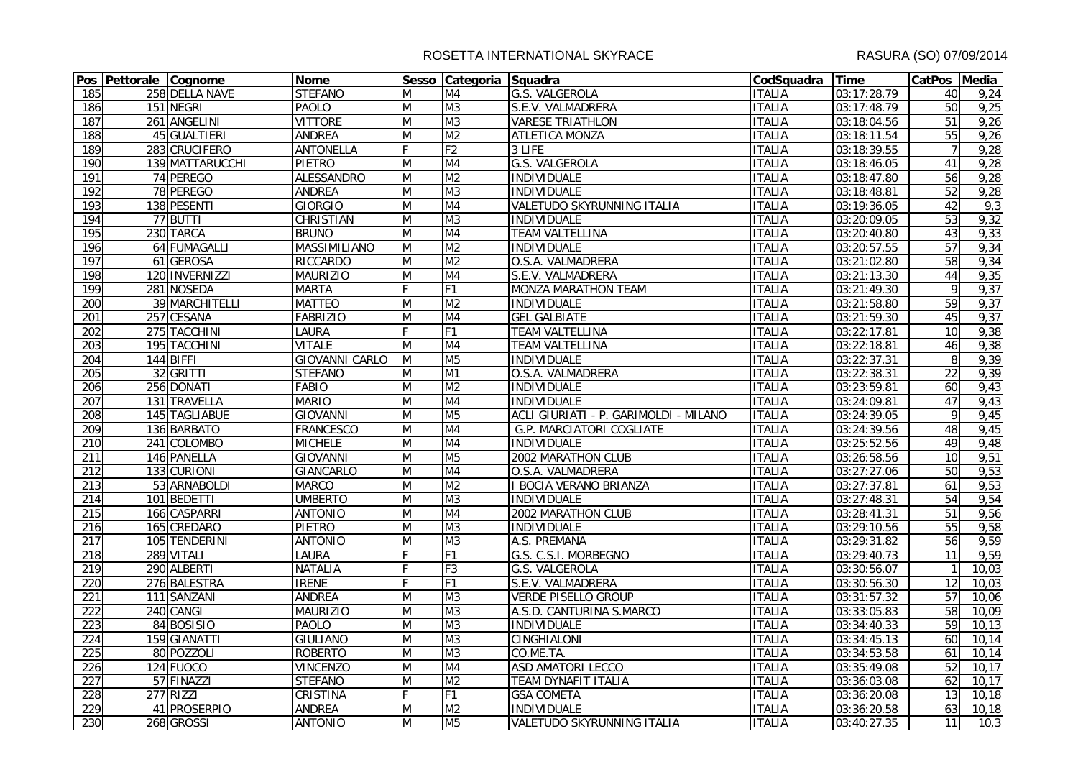|                  | Pos Pettorale Cognome |                  | Nome                  |                                                                                       | Sesso Categoria Squadra |                                       | CodSquadra Time |             | CatPos Media    |        |
|------------------|-----------------------|------------------|-----------------------|---------------------------------------------------------------------------------------|-------------------------|---------------------------------------|-----------------|-------------|-----------------|--------|
| 185              |                       | 258 DELLA NAVE   | <b>STEFANO</b>        | M                                                                                     | M4                      | G.S. VALGEROLA                        | <b>ITALIA</b>   | 03:17:28.79 | 40              | 9,24   |
| 186              |                       | 151 NEGRI        | <b>PAOLO</b>          | M                                                                                     | M3                      | S.E.V. VALMADRERA                     | <b>ITALIA</b>   | 03:17:48.79 | 50              | 9,25   |
| 187              |                       | 261 ANGELINI     | <b>VITTORE</b>        | M                                                                                     | M3                      | <b>VARESE TRIATHLON</b>               | <b>ITALIA</b>   | 03:18:04.56 | 51              | 9,26   |
| 188              |                       | 45 GUALTIERI     | <b>ANDREA</b>         | M                                                                                     | M <sub>2</sub>          | <b>ATLETICA MONZA</b>                 | <b>ITALIA</b>   | 03:18:11.54 | 55              | 9,26   |
| 189              |                       | 283 CRUCIFERO    | <b>ANTONELLA</b>      | F                                                                                     | F <sub>2</sub>          | 3 LIFE                                | <b>ITALIA</b>   | 03:18:39.55 | $\overline{7}$  | 9,28   |
| 190              |                       | 139 MATTARUCCHI  | <b>PIETRO</b>         | M                                                                                     | M4                      | G.S. VALGEROLA                        | <b>ITALIA</b>   | 03:18:46.05 | 41              | 9,28   |
| 191              |                       | 74 PEREGO        | <b>ALESSANDRO</b>     | M                                                                                     | M <sub>2</sub>          | <b>INDIVIDUALE</b>                    | <b>ITALIA</b>   | 03:18:47.80 | 56              | 9,28   |
| 192              |                       | 78 PEREGO        | <b>ANDREA</b>         | M                                                                                     | M <sub>3</sub>          | <b>INDIVIDUALE</b>                    | <b>ITALIA</b>   | 03:18:48.81 | 52              | 9,28   |
| 193              |                       | 138 PESENTI      | <b>GIORGIO</b>        | M                                                                                     | M4                      | VALETUDO SKYRUNNING ITALIA            | <b>ITALIA</b>   | 03:19:36.05 | 42              | 9,3    |
| 194              |                       | 77 BUTTI         | <b>CHRISTIAN</b>      | M                                                                                     | M <sub>3</sub>          | <b>INDIVIDUALE</b>                    | <b>ITALIA</b>   | 03:20:09.05 | 53              | 9,32   |
| 195              |                       | 230 TARCA        | <b>BRUNO</b>          | $\mathsf{M}% _{T}=\mathsf{M}_{T}\!\left( a,b\right) ,\ \mathsf{M}_{T}=\mathsf{M}_{T}$ | M4                      | <b>TEAM VALTELLINA</b>                | <b>ITALIA</b>   | 03:20:40.80 | 43              | 9,33   |
| 196              |                       | 64 FUMAGALLI     | <b>MASSIMILIANO</b>   | M                                                                                     | M <sub>2</sub>          | <b>INDIVIDUALE</b>                    | <b>ITALIA</b>   | 03:20:57.55 | 57              | 9,34   |
| 197              |                       | 61 GEROSA        | <b>RICCARDO</b>       | M                                                                                     | M <sub>2</sub>          | O.S.A. VALMADRERA                     | <b>ITALIA</b>   | 03:21:02.80 | 58              | 9,34   |
| 198              |                       | 120 INVERNIZZI   | <b>MAURIZIO</b>       | M                                                                                     | M4                      | S.E.V. VALMADRERA                     | <b>ITALIA</b>   | 03:21:13.30 | 44              | 9,35   |
| 199              |                       | 281 NOSEDA       | <b>MARTA</b>          | F                                                                                     | F <sub>1</sub>          | <b>MONZA MARATHON TEAM</b>            | <b>ITALIA</b>   | 03:21:49.30 | $\overline{9}$  | 9,37   |
| 200              |                       | 39 MARCHITELLI   | <b>MATTEO</b>         | M                                                                                     | M <sub>2</sub>          | <b>INDIVIDUALE</b>                    | <b>ITALIA</b>   | 03:21:58.80 | 59              | 9,37   |
| 201              |                       | 257 CESANA       | <b>FABRIZIO</b>       | M                                                                                     | M4                      | <b>GEL GALBIATE</b>                   | <b>ITALIA</b>   | 03:21:59.30 | 45              | 9,37   |
| 202              |                       | 275 TACCHINI     | <b>LAURA</b>          |                                                                                       | F1                      | <b>TEAM VALTELLINA</b>                | <b>ITALIA</b>   | 03:22:17.81 | 10              | 9,38   |
| 203              |                       | 195 TACCHINI     | <b>VITALE</b>         | M                                                                                     | M4                      | <b>TEAM VALTELLINA</b>                | <b>ITALIA</b>   | 03:22:18.81 | 46              | 9,38   |
| 204              |                       | 144 BIFFI        | <b>GIOVANNI CARLO</b> | M                                                                                     | M <sub>5</sub>          | <b>INDIVIDUALE</b>                    | <b>ITALIA</b>   | 03:22:37.31 | 8               | 9,39   |
| 205              |                       | 32 GRITTI        | <b>STEFANO</b>        | M                                                                                     | M1                      | O.S.A. VALMADRERA                     | <b>ITALIA</b>   | 03:22:38.31 | $\overline{22}$ | 9,39   |
| 206              |                       | 256 DONATI       | <b>FABIO</b>          | M                                                                                     | M <sub>2</sub>          | <b>INDIVIDUALE</b>                    | <b>ITALIA</b>   | 03:23:59.81 | 60              | 9,43   |
| 207              |                       | 131 TRAVELLA     | <b>MARIO</b>          | M                                                                                     | M4                      | <b>INDIVIDUALE</b>                    | <b>ITALIA</b>   | 03:24:09.81 | 47              | 9,43   |
| 208              |                       | 145 TAGLIABUE    | <b>GIOVANNI</b>       | M                                                                                     | M <sub>5</sub>          | ACLI GIURIATI - P. GARIMOLDI - MILANO | <b>ITALIA</b>   | 03:24:39.05 | $\overline{9}$  | 9,45   |
| 209              |                       | 136 BARBATO      | <b>FRANCESCO</b>      | M                                                                                     | M4                      | <b>G.P. MARCIATORI COGLIATE</b>       | <b>ITALIA</b>   | 03:24:39.56 | 48              | 9,45   |
| 210              |                       | 241 COLOMBO      | <b>MICHELE</b>        | M                                                                                     | M4                      | INDIVIDUALE                           | <b>ITALIA</b>   | 03:25:52.56 | 49              | 9,48   |
| 211              |                       | 146 PANELLA      | <b>GIOVANNI</b>       | M                                                                                     | M <sub>5</sub>          | 2002 MARATHON CLUB                    | <b>ITALIA</b>   | 03:26:58.56 | 10              | 9,51   |
| 212              |                       | 133 CURIONI      | <b>GIANCARLO</b>      | M                                                                                     | M <sub>4</sub>          | O.S.A. VALMADRERA                     | <b>ITALIA</b>   | 03:27:27.06 | 50              | 9,53   |
| 213              |                       | 53 ARNABOLDI     | <b>MARCO</b>          | M                                                                                     | M <sub>2</sub>          | <b>BOCIA VERANO BRIANZA</b>           | <b>ITALIA</b>   | 03:27:37.81 | 61              | 9,53   |
| 214              |                       | 101 BEDETTI      | <b>UMBERTO</b>        | M                                                                                     | M <sub>3</sub>          | <b>INDIVIDUALE</b>                    | <b>ITALIA</b>   | 03:27:48.31 | $\overline{54}$ | 9,54   |
| 215              |                       | 166 CASPARRI     | <b>ANTONIO</b>        | M                                                                                     | M4                      | 2002 MARATHON CLUB                    | <b>ITALIA</b>   | 03:28:41.31 | 51              | 9,56   |
| 216              |                       | 165 CREDARO      | <b>PIETRO</b>         | $\overline{M}$                                                                        | M <sub>3</sub>          | <b>INDIVIDUALE</b>                    | <b>ITALIA</b>   | 03:29:10.56 | 55              | 9,58   |
| $\overline{217}$ |                       | 105 TENDERINI    | <b>ANTONIO</b>        | M                                                                                     | M <sub>3</sub>          | A.S. PREMANA                          | <b>ITALIA</b>   | 03:29:31.82 | $\overline{56}$ | 9,59   |
| 218              |                       | 289 VITALI       | <b>LAURA</b>          |                                                                                       | F1                      | G.S. C.S.I. MORBEGNO                  | <b>ITALIA</b>   | 03:29:40.73 | 11              | 9,59   |
| 219              |                       | 290 ALBERTI      | <b>NATALIA</b>        |                                                                                       | F <sub>3</sub>          | G.S. VALGEROLA                        | <b>ITALIA</b>   | 03:30:56.07 | $\mathbf{1}$    | 10,03  |
| 220              |                       | 276 BALESTRA     | <b>IRENE</b>          | F                                                                                     | F <sub>1</sub>          | S.E.V. VALMADRERA                     | <b>ITALIA</b>   | 03:30:56.30 | $\overline{12}$ | 10,03  |
| 221              |                       | 111 SANZANI      | <b>ANDREA</b>         | M                                                                                     | M <sub>3</sub>          | <b>VERDE PISELLO GROUP</b>            | <b>ITALIA</b>   | 03:31:57.32 | 57              | 10,06  |
| 222              |                       | 240 CANGI        | <b>MAURIZIO</b>       | M                                                                                     | M <sub>3</sub>          | A.S.D. CANTURINA S.MARCO              | <b>ITALIA</b>   | 03:33:05.83 | 58              | 10,09  |
| 223              |                       | 84 BOSISIO       | <b>PAOLO</b>          | M                                                                                     | M3                      | <b>INDIVIDUALE</b>                    | <b>ITALIA</b>   | 03:34:40.33 | 59              | 10, 13 |
| 224              |                       | 159 GIANATTI     | <b>GIULIANO</b>       | M                                                                                     | M3                      | <b>CINGHIALONI</b>                    | <b>ITALIA</b>   | 03:34:45.13 | 60              | 10,14  |
| 225              |                       | 80 POZZOLI       | <b>ROBERTO</b>        | M                                                                                     | M <sub>3</sub>          | CO.ME.TA.                             | <b>ITALIA</b>   | 03:34:53.58 | 61              | 10,14  |
| 226              |                       | 124 FUOCO        | <b>VINCENZO</b>       | M                                                                                     | M4                      | <b>ASD AMATORI LECCO</b>              | <b>ITALIA</b>   | 03:35:49.08 | 52              | 10,17  |
| 227              |                       | 57 FINAZZI       | <b>STEFANO</b>        | M                                                                                     | M <sub>2</sub>          | TEAM DYNAFIT ITALIA                   | <b>ITALIA</b>   | 03:36:03.08 | 62              | 10,17  |
| 228              |                       | <b>277 RIZZI</b> | <b>CRISTINA</b>       | F                                                                                     | F1                      | <b>GSA COMETA</b>                     | <b>ITALIA</b>   | 03:36:20.08 | $\overline{13}$ | 10,18  |
| 229              |                       | 41 PROSERPIO     | <b>ANDREA</b>         | M                                                                                     | M <sub>2</sub>          | <b>INDIVIDUALE</b>                    | <b>ITALIA</b>   | 03:36:20.58 | 63              | 10,18  |
| 230              |                       | 268 GROSSI       | <b>ANTONIO</b>        | M                                                                                     | M <sub>5</sub>          | VALETUDO SKYRUNNING ITALIA            | <b>ITALIA</b>   | 03:40:27.35 | 11              | 10,3   |